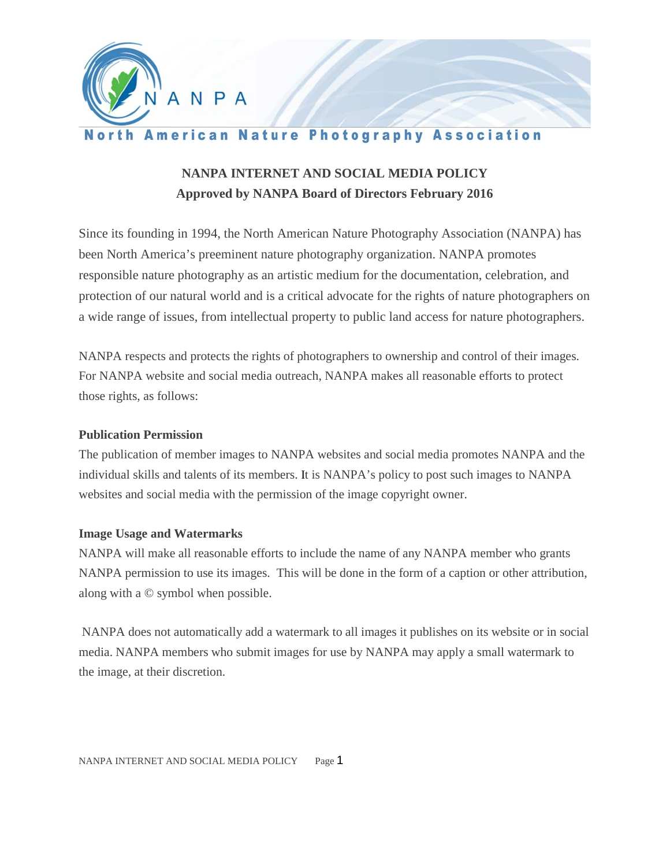

## **North American Nature Photography Association**

# **NANPA INTERNET AND SOCIAL MEDIA POLICY Approved by NANPA Board of Directors February 2016**

Since its founding in 1994, the North American Nature Photography Association (NANPA) has been North America's preeminent nature photography organization. NANPA promotes responsible nature photography as an artistic medium for the documentation, celebration, and protection of our natural world and is a critical advocate for the rights of nature photographers on a wide range of issues, from intellectual property to public land access for nature photographers.

NANPA respects and protects the rights of photographers to ownership and control of their images. For NANPA website and social media outreach, NANPA makes all reasonable efforts to protect those rights, as follows:

#### **Publication Permission**

The publication of member images to NANPA websites and social media promotes NANPA and the individual skills and talents of its members. It is NANPA's policy to post such images to NANPA websites and social media with the permission of the image copyright owner.

## **Image Usage and Watermarks**

NANPA will make all reasonable efforts to include the name of any NANPA member who grants NANPA permission to use its images. This will be done in the form of a caption or other attribution, along with a © symbol when possible.

NANPA does not automatically add a watermark to all images it publishes on its website or in social media. NANPA members who submit images for use by NANPA may apply a small watermark to the image, at their discretion.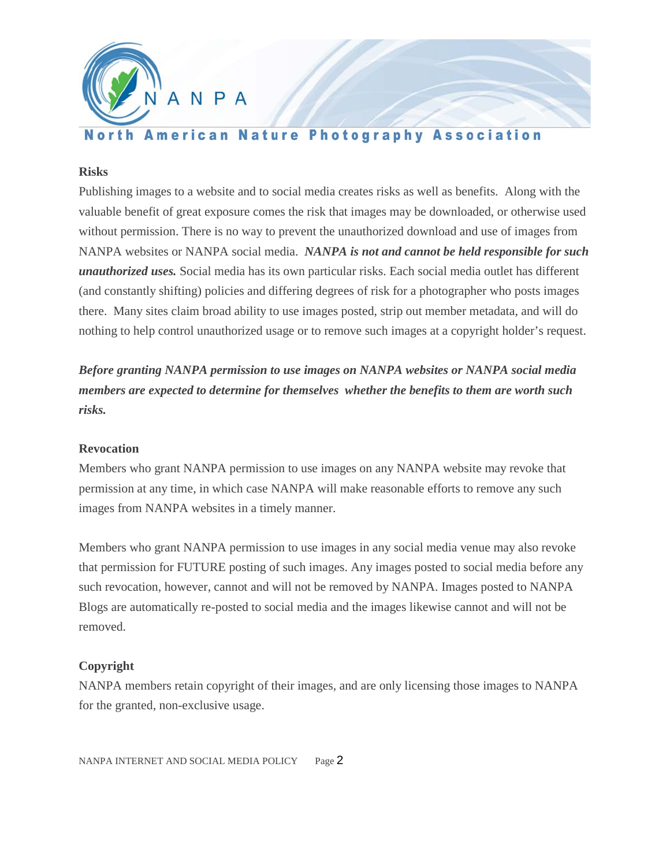

# **North American Nature Photography Association**

#### **Risks**

Publishing images to a website and to social media creates risks as well as benefits. Along with the valuable benefit of great exposure comes the risk that images may be downloaded, or otherwise used without permission. There is no way to prevent the unauthorized download and use of images from NANPA websites or NANPA social media. *NANPA is not and cannot be held responsible for such unauthorized uses.* Social media has its own particular risks. Each social media outlet has different (and constantly shifting) policies and differing degrees of risk for a photographer who posts images there. Many sites claim broad ability to use images posted, strip out member metadata, and will do nothing to help control unauthorized usage or to remove such images at a copyright holder's request.

*Before granting NANPA permission to use images on NANPA websites or NANPA social media members are expected to determine for themselves whether the benefits to them are worth such risks.* 

#### **Revocation**

Members who grant NANPA permission to use images on any NANPA website may revoke that permission at any time, in which case NANPA will make reasonable efforts to remove any such images from NANPA websites in a timely manner.

Members who grant NANPA permission to use images in any social media venue may also revoke that permission for FUTURE posting of such images. Any images posted to social media before any such revocation, however, cannot and will not be removed by NANPA. Images posted to NANPA Blogs are automatically re-posted to social media and the images likewise cannot and will not be removed.

## **Copyright**

NANPA members retain copyright of their images, and are only licensing those images to NANPA for the granted, non-exclusive usage.